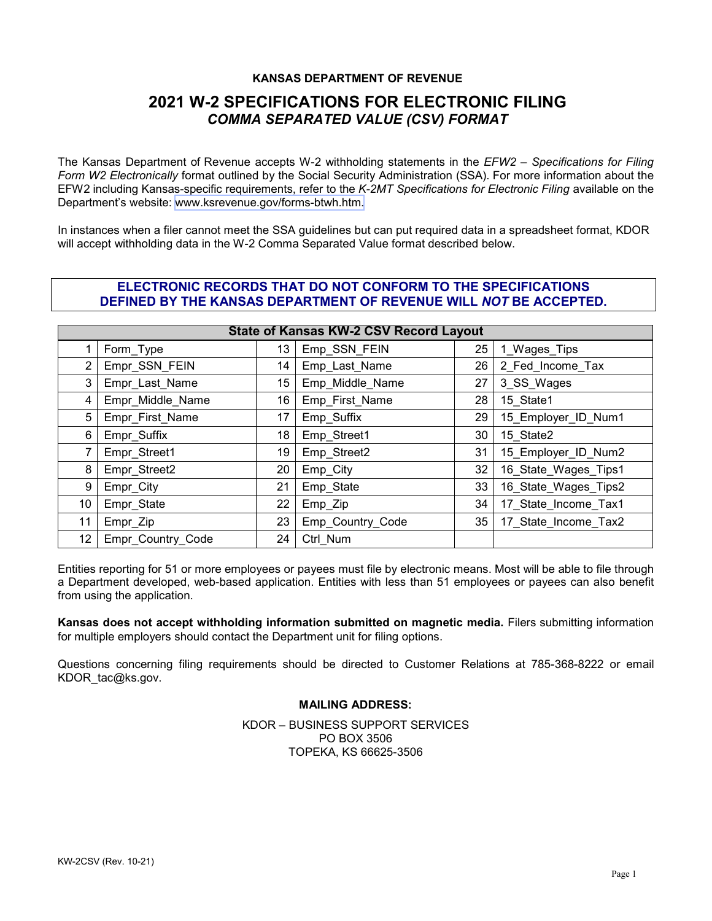#### **KANSAS DEPARTMENT OF REVENUE**

## **2021 W-2 SPECIFICATIONS FOR ELECTRONIC FILING** *COMMA SEPARATED VALUE (CSV) FORMAT*

The Kansas Department of Revenue accepts W-2 withholding statements in the *EFW2 – Specifications for Filing Form W2 Electronically* format outlined by the Social Security Administration (SSA). For more information about the EFW2 including Kansas-specific requirements, refer to the *K-2MT Specifications for Electronic Filing* available on the Department's website: www.ksrevenue.gov[/forms-btwh.htm.](https://www.ksrevenue.org/forms-btwh.html)

In instances when a filer cannot meet the SSA guidelines but can put required data in a spreadsheet format, KDOR will accept withholding data in the W-2 Comma Separated Value format described below.

### **ELECTRONIC RECORDS THAT DO NOT CONFORM TO THE SPECIFICATIONS DEFINED BY THE KANSAS DEPARTMENT OF REVENUE WILL** *NOT* **BE ACCEPTED.**

| <b>State of Kansas KW-2 CSV Record Layout</b> |                   |    |                  |    |                      |  |  |
|-----------------------------------------------|-------------------|----|------------------|----|----------------------|--|--|
|                                               | Form_Type         | 13 | Emp_SSN_FEIN     | 25 | 1_Wages_Tips         |  |  |
| $\mathbf{2}^{\circ}$                          | Empr_SSN_FEIN     | 14 | Emp_Last_Name    | 26 | 2 Fed_Income_Tax     |  |  |
| 3                                             | Empr_Last_Name    | 15 | Emp_Middle_Name  | 27 | 3_SS_Wages           |  |  |
| 4                                             | Empr_Middle_Name  | 16 | Emp_First_Name   | 28 | 15 State1            |  |  |
| 5                                             | Empr_First_Name   | 17 | Emp_Suffix       | 29 | 15 Employer ID Num1  |  |  |
| 6                                             | Empr_Suffix       | 18 | Emp_Street1      | 30 | 15 State2            |  |  |
|                                               | Empr_Street1      | 19 | Emp_Street2      | 31 | 15_Employer_ID_Num2  |  |  |
| 8                                             | Empr_Street2      | 20 | Emp_City         | 32 | 16 State Wages Tips1 |  |  |
| 9                                             | Empr_City         | 21 | Emp_State        | 33 | 16 State Wages Tips2 |  |  |
| 10                                            | Empr_State        | 22 | Emp_Zip          | 34 | 17 State Income Tax1 |  |  |
| 11                                            | Empr_Zip          | 23 | Emp_Country_Code | 35 | 17 State Income Tax2 |  |  |
| 12 <sup>°</sup>                               | Empr_Country_Code | 24 | Ctrl Num         |    |                      |  |  |

Entities reporting for 51 or more employees or payees must file by electronic means. Most will be able to file through a Department developed, web-based application. Entities with less than 51 employees or payees can also benefit from using the application.

**Kansas does not accept withholding information submitted on magnetic media.** Filers submitting information for multiple employers should contact the Department unit for filing options.

Questions concerning filing requirements should be directed to Customer Relations at 785-368-8222 or email KDOR\_tac@ks.gov.

### **MAILING ADDRESS:**

KDOR – BUSINESS SUPPORT SERVICES PO BOX 3506 TOPEKA, KS 66625-3506